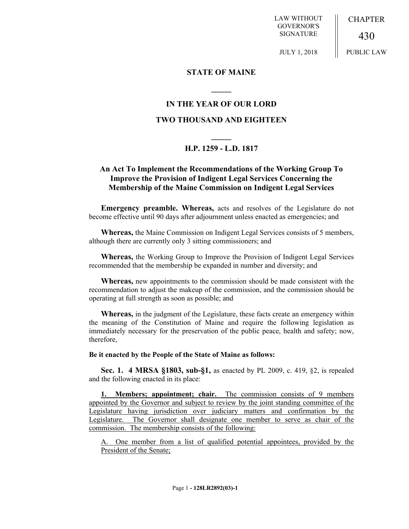LAW WITHOUT GOVERNOR'S SIGNATURE

CHAPTER

PUBLIC LAW

430

JULY 1, 2018

### **STATE OF MAINE**

# **IN THE YEAR OF OUR LORD**

**\_\_\_\_\_**

# **TWO THOUSAND AND EIGHTEEN**

# **\_\_\_\_\_ H.P. 1259 - L.D. 1817**

# **An Act To Implement the Recommendations of the Working Group To Improve the Provision of Indigent Legal Services Concerning the Membership of the Maine Commission on Indigent Legal Services**

**Emergency preamble. Whereas,** acts and resolves of the Legislature do not become effective until 90 days after adjournment unless enacted as emergencies; and

**Whereas,** the Maine Commission on Indigent Legal Services consists of 5 members, although there are currently only 3 sitting commissioners; and

**Whereas,** the Working Group to Improve the Provision of Indigent Legal Services recommended that the membership be expanded in number and diversity; and

**Whereas,** new appointments to the commission should be made consistent with the recommendation to adjust the makeup of the commission, and the commission should be operating at full strength as soon as possible; and

**Whereas,** in the judgment of the Legislature, these facts create an emergency within the meaning of the Constitution of Maine and require the following legislation as immediately necessary for the preservation of the public peace, health and safety; now, therefore,

#### **Be it enacted by the People of the State of Maine as follows:**

**Sec. 1. 4 MRSA §1803, sub-§1,** as enacted by PL 2009, c. 419, §2, is repealed and the following enacted in its place:

**1. Members; appointment; chair.** The commission consists of 9 members appointed by the Governor and subject to review by the joint standing committee of the Legislature having jurisdiction over judiciary matters and confirmation by the Legislature. The Governor shall designate one member to serve as chair of the commission. The membership consists of the following:

A. One member from a list of qualified potential appointees, provided by the President of the Senate;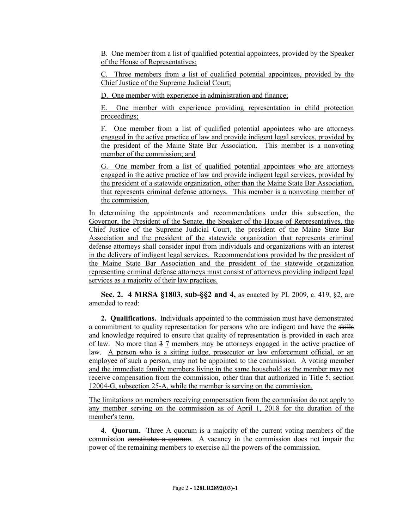B. One member from a list of qualified potential appointees, provided by the Speaker of the House of Representatives;

C. Three members from a list of qualified potential appointees, provided by the Chief Justice of the Supreme Judicial Court;

D. One member with experience in administration and finance;

E. One member with experience providing representation in child protection proceedings;

F. One member from a list of qualified potential appointees who are attorneys engaged in the active practice of law and provide indigent legal services, provided by the president of the Maine State Bar Association. This member is a nonvoting member of the commission; and

G. One member from a list of qualified potential appointees who are attorneys engaged in the active practice of law and provide indigent legal services, provided by the president of a statewide organization, other than the Maine State Bar Association, that represents criminal defense attorneys. This member is a nonvoting member of the commission.

In determining the appointments and recommendations under this subsection, the Governor, the President of the Senate, the Speaker of the House of Representatives, the Chief Justice of the Supreme Judicial Court, the president of the Maine State Bar Association and the president of the statewide organization that represents criminal defense attorneys shall consider input from individuals and organizations with an interest in the delivery of indigent legal services. Recommendations provided by the president of the Maine State Bar Association and the president of the statewide organization representing criminal defense attorneys must consist of attorneys providing indigent legal services as a majority of their law practices.

**Sec. 2. 4 MRSA §1803, sub-§§2 and 4,** as enacted by PL 2009, c. 419, §2, are amended to read:

**2. Qualifications.** Individuals appointed to the commission must have demonstrated a commitment to quality representation for persons who are indigent and have the skills and knowledge required to ensure that quality of representation is provided in each area of law. No more than 3 7 members may be attorneys engaged in the active practice of law. A person who is a sitting judge, prosecutor or law enforcement official, or an employee of such a person, may not be appointed to the commission. A voting member and the immediate family members living in the same household as the member may not receive compensation from the commission, other than that authorized in Title 5, section 12004-G, subsection 25-A, while the member is serving on the commission.

The limitations on members receiving compensation from the commission do not apply to any member serving on the commission as of April 1, 2018 for the duration of the member's term.

**4. Quorum.** Three A quorum is a majority of the current voting members of the commission constitutes a quorum. A vacancy in the commission does not impair the power of the remaining members to exercise all the powers of the commission.